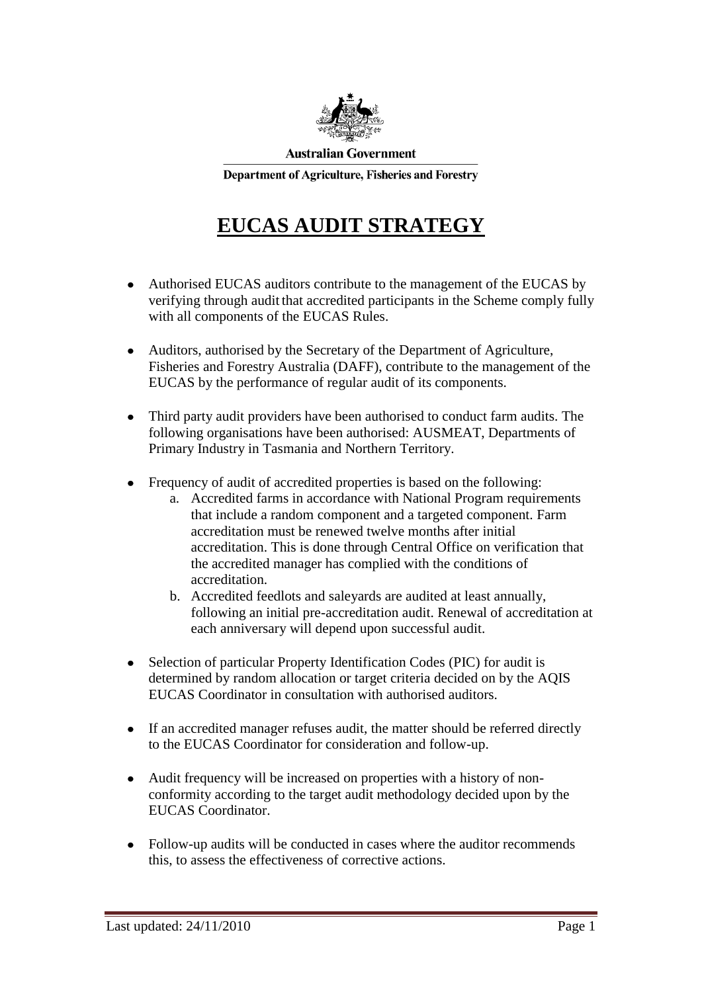

**Australian Government** 

Department of Agriculture, Fisheries and Forestry

## **EUCAS AUDIT STRATEGY**

- Authorised EUCAS auditors contribute to the management of the EUCAS by verifying through audit that accredited participants in the Scheme comply fully with all components of the EUCAS Rules.
- Auditors, authorised by the Secretary of the Department of Agriculture,  $\bullet$ Fisheries and Forestry Australia (DAFF), contribute to the management of the EUCAS by the performance of regular audit of its components.
- Third party audit providers have been authorised to conduct farm audits. The  $\bullet$ following organisations have been authorised: AUSMEAT, Departments of Primary Industry in Tasmania and Northern Territory.
- Frequency of audit of accredited properties is based on the following:
	- a. Accredited farms in accordance with National Program requirements that include a random component and a targeted component. Farm accreditation must be renewed twelve months after initial accreditation. This is done through Central Office on verification that the accredited manager has complied with the conditions of accreditation.
	- b. Accredited feedlots and saleyards are audited at least annually, following an initial pre-accreditation audit. Renewal of accreditation at each anniversary will depend upon successful audit.
- Selection of particular Property Identification Codes (PIC) for audit is  $\bullet$ determined by random allocation or target criteria decided on by the AQIS EUCAS Coordinator in consultation with authorised auditors.
- If an accredited manager refuses audit, the matter should be referred directly  $\bullet$ to the EUCAS Coordinator for consideration and follow-up.
- Audit frequency will be increased on properties with a history of nonconformity according to the target audit methodology decided upon by the EUCAS Coordinator.
- Follow-up audits will be conducted in cases where the auditor recommends  $\bullet$ this, to assess the effectiveness of corrective actions.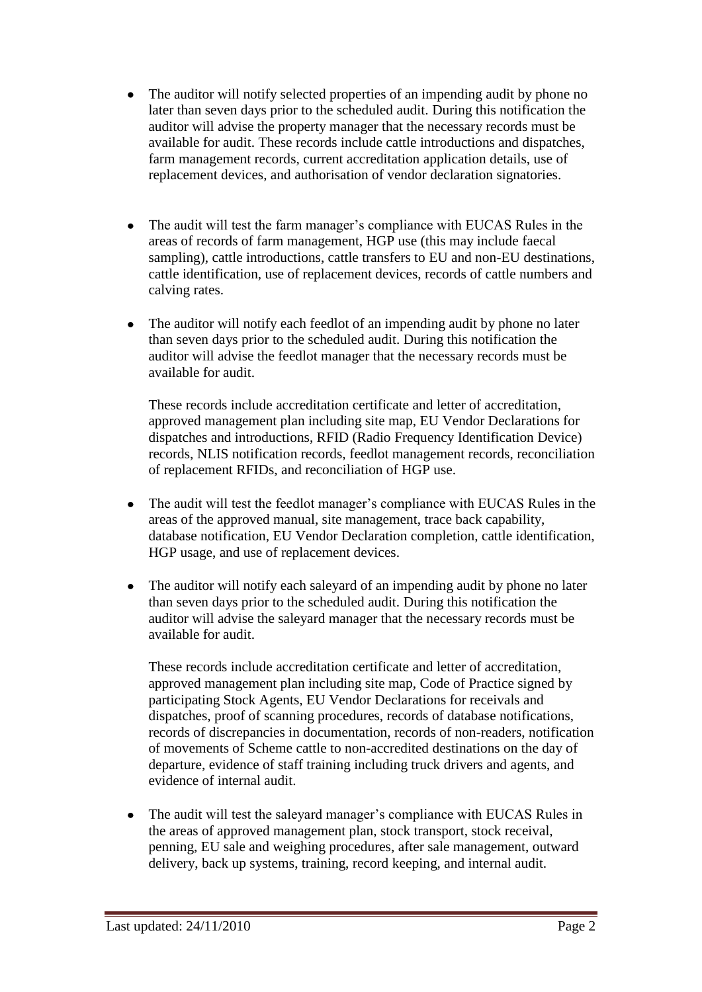- The auditor will notify selected properties of an impending audit by phone no  $\bullet$ later than seven days prior to the scheduled audit. During this notification the auditor will advise the property manager that the necessary records must be available for audit. These records include cattle introductions and dispatches, farm management records, current accreditation application details, use of replacement devices, and authorisation of vendor declaration signatories.
- The audit will test the farm manager's compliance with EUCAS Rules in the areas of records of farm management, HGP use (this may include faecal sampling), cattle introductions, cattle transfers to EU and non-EU destinations, cattle identification, use of replacement devices, records of cattle numbers and calving rates.
- The auditor will notify each feedlot of an impending audit by phone no later  $\bullet$ than seven days prior to the scheduled audit. During this notification the auditor will advise the feedlot manager that the necessary records must be available for audit.

These records include accreditation certificate and letter of accreditation, approved management plan including site map, EU Vendor Declarations for dispatches and introductions, RFID (Radio Frequency Identification Device) records, NLIS notification records, feedlot management records, reconciliation of replacement RFIDs, and reconciliation of HGP use.

- The audit will test the feedlot manager's compliance with EUCAS Rules in the  $\bullet$ areas of the approved manual, site management, trace back capability, database notification, EU Vendor Declaration completion, cattle identification, HGP usage, and use of replacement devices.
- $\bullet$ The auditor will notify each saleyard of an impending audit by phone no later than seven days prior to the scheduled audit. During this notification the auditor will advise the saleyard manager that the necessary records must be available for audit.

These records include accreditation certificate and letter of accreditation, approved management plan including site map, Code of Practice signed by participating Stock Agents, EU Vendor Declarations for receivals and dispatches, proof of scanning procedures, records of database notifications, records of discrepancies in documentation, records of non-readers, notification of movements of Scheme cattle to non-accredited destinations on the day of departure, evidence of staff training including truck drivers and agents, and evidence of internal audit.

The audit will test the saleyard manager's compliance with EUCAS Rules in  $\bullet$ the areas of approved management plan, stock transport, stock receival, penning, EU sale and weighing procedures, after sale management, outward delivery, back up systems, training, record keeping, and internal audit.